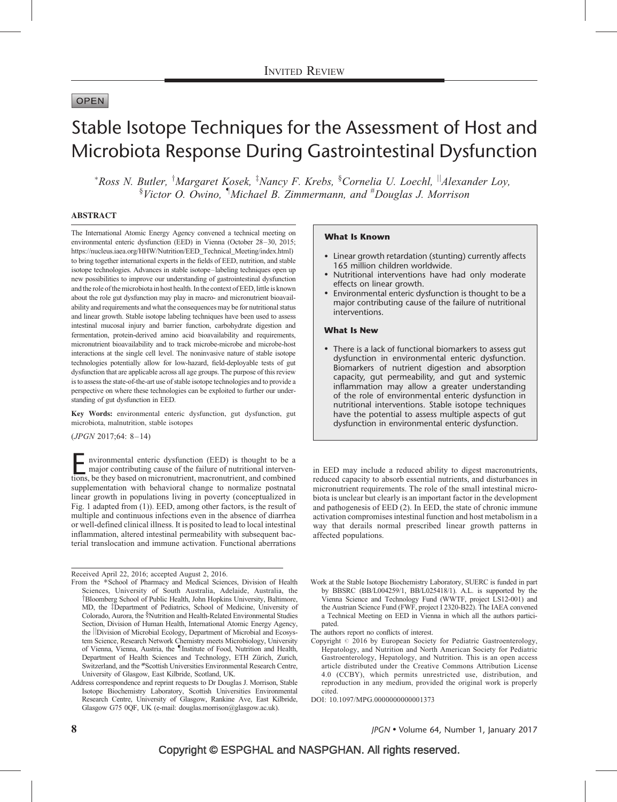# **OPEN**

# Stable Isotope Techniques for the Assessment of Host and Microbiota Response During Gastrointestinal Dysfunction

\*Ross N. Butler, <sup>†</sup>Margaret Kosek, <sup>‡</sup>Nancy F. Krebs, <sup>§</sup>Cornelia U. Loechl, <sup>||</sup>Alexander Loy,  $\delta$ Victor O. Owino,  $\nabla$ Michael B. Zimmermann, and  $\nabla^*$  Douglas J. Morrison

#### ABSTRACT

The International Atomic Energy Agency convened a technical meeting on environmental enteric dysfunction (EED) in Vienna (October 28–30, 2015; [https://nucleus.iaea.org/HHW/Nutrition/EED\\_Technical\\_Meeting/index.html](https://nucleus.iaea.org/HHW/Nutrition/EED_Technical_Meeting/index.html)) to bring together international experts in the fields of EED, nutrition, and stable isotope technologies. Advances in stable isotope–labeling techniques open up new possibilities to improve our understanding of gastrointestinal dysfunction and the role of the microbiota in host health. In the context of EED, little is known about the role gut dysfunction may play in macro- and micronutrient bioavailability and requirements and what the consequences may be for nutritional status and linear growth. Stable isotope labeling techniques have been used to assess intestinal mucosal injury and barrier function, carbohydrate digestion and fermentation, protein-derived amino acid bioavailability and requirements, micronutrient bioavailability and to track microbe-microbe and microbe-host interactions at the single cell level. The noninvasive nature of stable isotope technologies potentially allow for low-hazard, field-deployable tests of gut dysfunction that are applicable across all age groups. The purpose of this review is to assess the state-of-the-art use of stable isotope technologies and to provide a perspective on where these technologies can be exploited to further our understanding of gut dysfunction in EED.

Key Words: environmental enteric dysfunction, gut dysfunction, gut microbiota, malnutrition, stable isotopes

(JPGN 2017;64: 8–14)

Environmental enteric dysfunction (EED) is thought to be a major contributing cause of the failure of nutritional interventions, be they based on micronutrient, macronutrient, and combined supplementation with behavioral change to normalize postnatal linear growth in populations living in poverty (conceptualized in [Fig. 1](#page-1-0) adapted from [\(1\)](#page-5-0)). EED, among other factors, is the result of multiple and continuous infections even in the absence of diarrhea or well-defined clinical illness. It is posited to lead to local intestinal inflammation, altered intestinal permeability with subsequent bacterial translocation and immune activation. Functional aberrations

#### What Is Known

- Linear growth retardation (stunting) currently affects 165 million children worldwide.
- Nutritional interventions have had only moderate effects on linear growth.
- Environmental enteric dysfunction is thought to be a major contributing cause of the failure of nutritional interventions.

#### What Is New

 There is a lack of functional biomarkers to assess gut dysfunction in environmental enteric dysfunction. Biomarkers of nutrient digestion and absorption capacity, gut permeability, and gut and systemic inflammation may allow a greater understanding of the role of environmental enteric dysfunction in nutritional interventions. Stable isotope techniques have the potential to assess multiple aspects of gut dysfunction in environmental enteric dysfunction.

in EED may include a reduced ability to digest macronutrients, reduced capacity to absorb essential nutrients, and disturbances in micronutrient requirements. The role of the small intestinal microbiota is unclear but clearly is an important factor in the development and pathogenesis of EED [\(2\).](#page-5-0) In EED, the state of chronic immune activation compromises intestinal function and host metabolism in a way that derails normal prescribed linear growth patterns in affected populations.

Work at the Stable Isotope Biochemistry Laboratory, SUERC is funded in part by BBSRC (BB/L004259/1, BB/L025418/1). A.L. is supported by the Vienna Science and Technology Fund (WWTF, project LS12-001) and the Austrian Science Fund (FWF, project I 2320-B22). The IAEA convened a Technical Meeting on EED in Vienna in which all the authors participated.

The authors report no conflicts of interest.

Received April 22, 2016; accepted August 2, 2016.

From the \*School of Pharmacy and Medical Sciences, Division of Health Sciences, University of South Australia, Adelaide, Australia, the <sup>†</sup>Bloomberg School of Public Health, John Hopkins University, Baltimore, MD, the <sup>‡</sup>Department of Pediatrics, School of Medicine, University of Colorado, Aurora, the §Nutrition and Health-Related Environmental Studies Section, Division of Human Health, International Atomic Energy Agency, the *Division of Microbial Ecology*, Department of Microbial and Ecosystem Science, Research Network Chemistry meets Microbiology, University of Vienna, Vienna, Austria, the *Institute of Food*, Nutrition and Health, Department of Health Sciences and Technology, ETH Zürich, Zurich, Switzerland, and the #Scottish Universities Environmental Research Centre, University of Glasgow, East Kilbride, Scotland, UK.

Address correspondence and reprint requests to Dr Douglas J. Morrison, Stable Isotope Biochemistry Laboratory, Scottish Universities Environmental Research Centre, University of Glasgow, Rankine Ave, East Kilbride, Glasgow G75 0QF, UK (e-mail: douglas.morrison@glasgow.ac.uk).

Copyright  $\odot$  2016 by European Society for Pediatric Gastroenterology, Hepatology, and Nutrition and North American Society for Pediatric Gastroenterology, Hepatology, and Nutrition. This is an open access article distributed under the Creative Commons Attribution License 4.0 (CCBY), which permits unrestricted use, distribution, and reproduction in any medium, provided the original work is properly cited.

DOI: [10.1097/MPG.0000000000001373](http://dx.doi.org/10.1097/MPG.0000000000001373)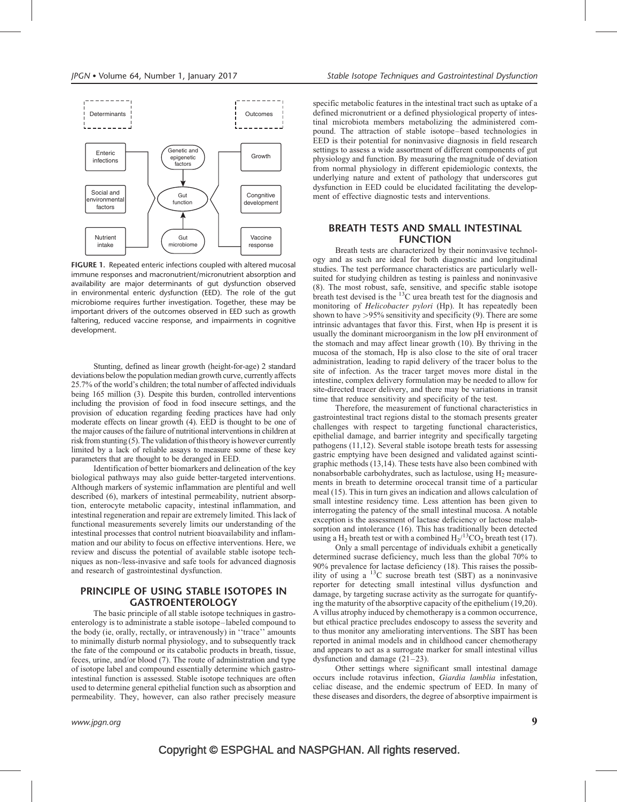<span id="page-1-0"></span>

FIGURE 1. Repeated enteric infections coupled with altered mucosal immune responses and macronutrient/micronutrient absorption and availability are major determinants of gut dysfunction observed in environmental enteric dysfunction (EED). The role of the gut microbiome requires further investigation. Together, these may be important drivers of the outcomes observed in EED such as growth faltering, reduced vaccine response, and impairments in cognitive development.

Stunting, defined as linear growth (height-for-age) 2 standard deviations below the population median growth curve, currently affects 25.7% of the world's children; the total number of affected individuals being 165 million [\(3\).](#page-5-0) Despite this burden, controlled interventions including the provision of food in food insecure settings, and the provision of education regarding feeding practices have had only moderate effects on linear growth [\(4\).](#page-5-0) EED is thought to be one of the major causes of the failure of nutritional interventions in children at risk from stunting [\(5\).](#page-5-0) The validation of this theory is however currently limited by a lack of reliable assays to measure some of these key parameters that are thought to be deranged in EED.

Identification of better biomarkers and delineation of the key biological pathways may also guide better-targeted interventions. Although markers of systemic inflammation are plentiful and well described [\(6\),](#page-5-0) markers of intestinal permeability, nutrient absorption, enterocyte metabolic capacity, intestinal inflammation, and intestinal regeneration and repair are extremely limited. This lack of functional measurements severely limits our understanding of the intestinal processes that control nutrient bioavailability and inflammation and our ability to focus on effective interventions. Here, we review and discuss the potential of available stable isotope techniques as non-/less-invasive and safe tools for advanced diagnosis and research of gastrointestinal dysfunction.

## PRINCIPLE OF USING STABLE ISOTOPES IN GASTROENTEROLOGY

The basic principle of all stable isotope techniques in gastroenterology is to administrate a stable isotope–labeled compound to the body (ie, orally, rectally, or intravenously) in ''trace'' amounts to minimally disturb normal physiology, and to subsequently track the fate of the compound or its catabolic products in breath, tissue, feces, urine, and/or blood [\(7\)](#page-5-0). The route of administration and type of isotope label and compound essentially determine which gastrointestinal function is assessed. Stable isotope techniques are often used to determine general epithelial function such as absorption and permeability. They, however, can also rather precisely measure specific metabolic features in the intestinal tract such as uptake of a defined micronutrient or a defined physiological property of intestinal microbiota members metabolizing the administered compound. The attraction of stable isotope–based technologies in EED is their potential for noninvasive diagnosis in field research settings to assess a wide assortment of different components of gut physiology and function. By measuring the magnitude of deviation from normal physiology in different epidemiologic contexts, the underlying nature and extent of pathology that underscores gut dysfunction in EED could be elucidated facilitating the development of effective diagnostic tests and interventions.

### BREATH TESTS AND SMALL INTESTINAL FUNCTION

Breath tests are characterized by their noninvasive technology and as such are ideal for both diagnostic and longitudinal studies. The test performance characteristics are particularly wellsuited for studying children as testing is painless and noninvasive [\(8\)](#page-5-0). The most robust, safe, sensitive, and specific stable isotope breath test devised is the  $^{13}$ C urea breath test for the diagnosis and monitoring of Helicobacter pylori (Hp). It has repeatedly been shown to have >95% sensitivity and specificity [\(9\).](#page-5-0) There are some intrinsic advantages that favor this. First, when Hp is present it is usually the dominant microorganism in the low pH environment of the stomach and may affect linear growth [\(10\)](#page-5-0). By thriving in the mucosa of the stomach, Hp is also close to the site of oral tracer administration, leading to rapid delivery of the tracer bolus to the site of infection. As the tracer target moves more distal in the intestine, complex delivery formulation may be needed to allow for site-directed tracer delivery, and there may be variations in transit time that reduce sensitivity and specificity of the test.

Therefore, the measurement of functional characteristics in gastrointestinal tract regions distal to the stomach presents greater challenges with respect to targeting functional characteristics, epithelial damage, and barrier integrity and specifically targeting pathogens [\(11,12\).](#page-5-0) Several stable isotope breath tests for assessing gastric emptying have been designed and validated against scintigraphic methods [\(13,14\)](#page-5-0). These tests have also been combined with nonabsorbable carbohydrates, such as lactulose, using  $H_2$  measurements in breath to determine orocecal transit time of a particular meal [\(15\)](#page-5-0). This in turn gives an indication and allows calculation of small intestine residency time. Less attention has been given to interrogating the patency of the small intestinal mucosa. A notable exception is the assessment of lactase deficiency or lactose malabsorption and intolerance [\(16\).](#page-5-0) This has traditionally been detected using a H<sub>2</sub> breath test or with a combined  $\text{H}_2$ <sup>13</sup>CO<sub>2</sub> breath test [\(17\).](#page-5-0)

Only a small percentage of individuals exhibit a genetically determined sucrase deficiency, much less than the global 70% to 90% prevalence for lactase deficiency [\(18\)](#page-5-0). This raises the possibility of using a  $^{13}$ C sucrose breath test (SBT) as a noninvasive reporter for detecting small intestinal villus dysfunction and damage, by targeting sucrase activity as the surrogate for quantifying the maturity of the absorptive capacity of the epithelium [\(19,20\).](#page-5-0) A villus atrophy induced by chemotherapy is a common occurrence, but ethical practice precludes endoscopy to assess the severity and to thus monitor any ameliorating interventions. The SBT has been reported in animal models and in childhood cancer chemotherapy and appears to act as a surrogate marker for small intestinal villus dysfunction and damage [\(21–23\)](#page-5-0).

Other settings where significant small intestinal damage occurs include rotavirus infection, Giardia lamblia infestation, celiac disease, and the endemic spectrum of EED. In many of these diseases and disorders, the degree of absorptive impairment is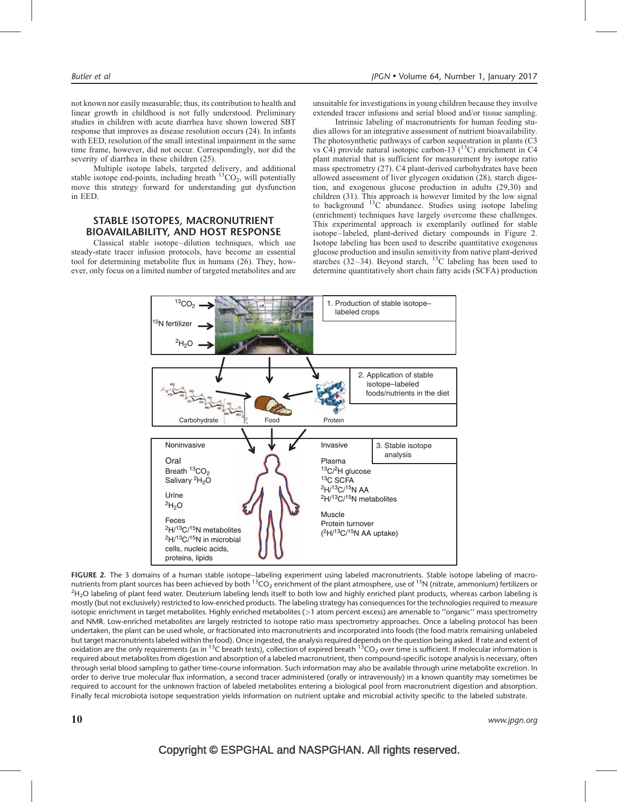not known nor easily measurable; thus, its contribution to health and linear growth in childhood is not fully understood. Preliminary studies in children with acute diarrhea have shown lowered SBT response that improves as disease resolution occurs [\(24\).](#page-5-0) In infants with EED, resolution of the small intestinal impairment in the same time frame, however, did not occur. Correspondingly, nor did the severity of diarrhea in these children [\(25\).](#page-5-0)

Multiple isotope labels, targeted delivery, and additional stable isotope end-points, including breath  ${}^{13}CO_2$ , will potentially move this strategy forward for understanding gut dysfunction in EED.

## STABLE ISOTOPES, MACRONUTRIENT BIOAVAILABILITY, AND HOST RESPONSE

Classical stable isotope–dilution techniques, which use steady-state tracer infusion protocols, have become an essential tool for determining metabolite flux in humans [\(26\).](#page-5-0) They, however, only focus on a limited number of targeted metabolites and are unsuitable for investigations in young children because they involve extended tracer infusions and serial blood and/or tissue sampling.

Intrinsic labeling of macronutrients for human feeding studies allows for an integrative assessment of nutrient bioavailability. The photosynthetic pathways of carbon sequestration in plants (C3 vs  $\overrightarrow{C4}$ ) provide natural isotopic carbon-13 (<sup>13</sup>C) enrichment in C4 plant material that is sufficient for measurement by isotope ratio mass spectrometry [\(27\)](#page-5-0). C4 plant-derived carbohydrates have been allowed assessment of liver glycogen oxidation [\(28\),](#page-6-0) starch digestion, and exogenous glucose production in adults [\(29,30\)](#page-6-0) and children [\(31\)](#page-6-0). This approach is however limited by the low signal to background <sup>13</sup>C abundance. Studies using isotope labeling (enrichment) techniques have largely overcome these challenges. This experimental approach is exemplarily outlined for stable isotope–labeled, plant-derived dietary compounds in Figure 2. Isotope labeling has been used to describe quantitative exogenous glucose production and insulin sensitivity from native plant-derived starches  $(32-34)$ . Beyond starch, <sup>13</sup>C labeling has been used to determine quantitatively short chain fatty acids (SCFA) production



FIGURE 2. The 3 domains of a human stable isotope-labeling experiment using labeled macronutrients. Stable isotope labeling of macronutrients from plant sources has been achieved by both  $^{13}CO_2$  enrichment of the plant atmosphere, use of <sup>15</sup>N (nitrate, ammonium) fertilizers or <sup>2</sup>H<sub>2</sub>O labeling of plant feed water. Deuterium labeling lends itself to both low and highly enriched plant products, whereas carbon labeling is mostly (but not exclusively) restricted to low-enriched products. The labeling strategy has consequences for the technologies required to measure isotopic enrichment in target metabolites. Highly enriched metabolites (>1 atom percent excess) are amenable to ''organic'' mass spectrometry and NMR. Low-enriched metabolites are largely restricted to isotope ratio mass spectrometry approaches. Once a labeling protocol has been undertaken, the plant can be used whole, or fractionated into macronutrients and incorporated into foods (the food matrix remaining unlabeled but target macronutrients labeled within the food). Once ingested, the analysis required depends on the question being asked. If rate and extent of<br>oxidation are the only requirements (as in <sup>13</sup>C breath tests), collection required about metabolites from digestion and absorption of a labeled macronutrient, then compound-specific isotope analysis is necessary, often through serial blood sampling to gather time-course information. Such information may also be available through urine metabolite excretion. In order to derive true molecular flux information, a second tracer administered (orally or intravenously) in a known quantity may sometimes be required to account for the unknown fraction of labeled metabolites entering a biological pool from macronutrient digestion and absorption. Finally fecal microbiota isotope sequestration yields information on nutrient uptake and microbial activity specific to the labeled substrate.

 $\bf 10$  www.jpgn.org www.jpgn.org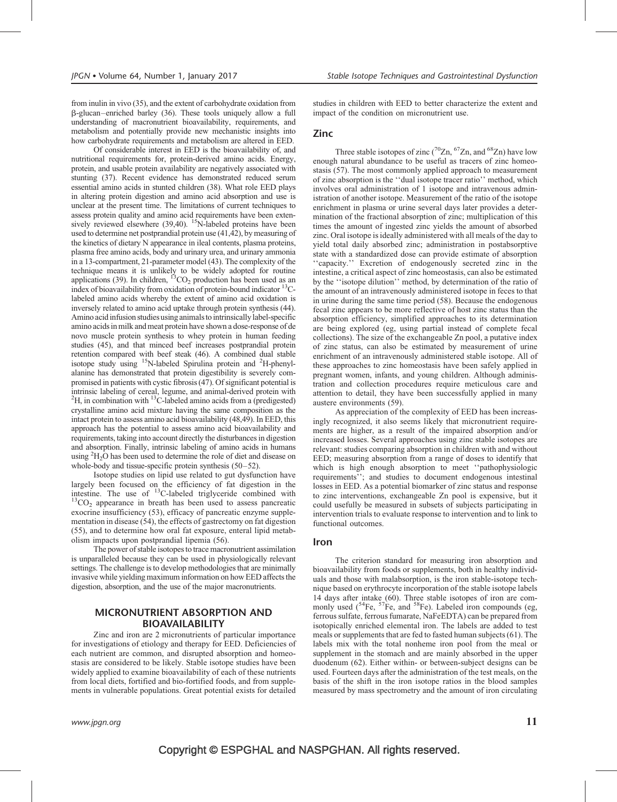from inulin in vivo [\(35\),](#page-6-0) and the extent of carbohydrate oxidation from b-glucan–enriched barley [\(36\).](#page-6-0) These tools uniquely allow a full understanding of macronutrient bioavailability, requirements, and metabolism and potentially provide new mechanistic insights into how carbohydrate requirements and metabolism are altered in EED.

Of considerable interest in EED is the bioavailability of, and nutritional requirements for, protein-derived amino acids. Energy, protein, and usable protein availability are negatively associated with stunting [\(37\).](#page-6-0) Recent evidence has demonstrated reduced serum essential amino acids in stunted children [\(38\).](#page-6-0) What role EED plays in altering protein digestion and amino acid absorption and use is unclear at the present time. The limitations of current techniques to assess protein quality and amino acid requirements have been exten-sively reviewed elsewhere [\(39,40\)](#page-6-0). <sup>15</sup>N-labeled proteins have been used to determine net postprandial protein use [\(41,42\),](#page-6-0) by measuring of the kinetics of dietary N appearance in ileal contents, plasma proteins, plasma free amino acids, body and urinary urea, and urinary ammonia in a 13-compartment, 21-parameter model [\(43\).](#page-6-0) The complexity of the technique means it is unlikely to be widely adopted for routine applications [\(39\)](#page-6-0). In children,  ${}^{13}CO_2$  production has been used as an index of bioavailability from oxidation of protein-bound indicator <sup>13</sup>Clabeled amino acids whereby the extent of amino acid oxidation is inversely related to amino acid uptake through protein synthesis [\(44\)](#page-6-0). Amino acid infusion studies using animals to intrinsically label-specific amino acids in milk and meat protein have shown a dose-response of de novo muscle protein synthesis to whey protein in human feeding studies [\(45\)](#page-6-0), and that minced beef increases postprandial protein retention compared with beef steak [\(46\).](#page-6-0) A combined dual stable isotope study using <sup>15</sup>N-labeled Spirulina protein and <sup>2</sup>H-phenylalanine has demonstrated that protein digestibility is severely compromised in patients with cystic fibrosis [\(47\)](#page-6-0). Of significant potential is intrinsic labeling of cereal, legume, and animal-derived protein with <sup>2</sup>  $^{2}H$ , in combination with  $^{13}C$ -labeled amino acids from a (predigested) crystalline amino acid mixture having the same composition as the intact protein to assess amino acid bioavailability [\(48,49\)](#page-6-0). In EED, this approach has the potential to assess amino acid bioavailability and requirements, taking into account directly the disturbances in digestion and absorption. Finally, intrinsic labeling of amino acids in humans using  ${}^{2}H_{2}O$  has been used to determine the role of diet and disease on whole-body and tissue-specific protein synthesis [\(50–52\)](#page-6-0).

Isotope studies on lipid use related to gut dysfunction have largely been focused on the efficiency of fat digestion in the intestine. The use of  $^{13}$ C-labeled triglyceride combined with  $^{13}CO<sub>2</sub>$  appearance in breath has been used to assess pancreatic exocrine insufficiency [\(53\)](#page-6-0), efficacy of pancreatic enzyme supplementation in disease [\(54\),](#page-6-0) the effects of gastrectomy on fat digestion [\(55\)](#page-6-0), and to determine how oral fat exposure, enteral lipid metabolism impacts upon postprandial lipemia [\(56\).](#page-6-0)

The power of stable isotopes to trace macronutrient assimilation is unparalleled because they can be used in physiologically relevant settings. The challenge is to develop methodologies that are minimally invasive while yielding maximum information on how EED affects the digestion, absorption, and the use of the major macronutrients.

# MICRONUTRIENT ABSORPTION AND BIOAVAILABILITY

Zinc and iron are 2 micronutrients of particular importance for investigations of etiology and therapy for EED. Deficiencies of each nutrient are common, and disrupted absorption and homeostasis are considered to be likely. Stable isotope studies have been widely applied to examine bioavailability of each of these nutrients from local diets, fortified and bio-fortified foods, and from supplements in vulnerable populations. Great potential exists for detailed studies in children with EED to better characterize the extent and impact of the condition on micronutrient use.

#### Zinc

Three stable isotopes of zinc  $(^{70}Zn, ^{67}Zn,$  and  $^{68}Zn)$  have low enough natural abundance to be useful as tracers of zinc homeostasis [\(57\).](#page-6-0) The most commonly applied approach to measurement of zinc absorption is the ''dual isotope tracer ratio'' method, which involves oral administration of 1 isotope and intravenous administration of another isotope. Measurement of the ratio of the isotope enrichment in plasma or urine several days later provides a determination of the fractional absorption of zinc; multiplication of this times the amount of ingested zinc yields the amount of absorbed zinc. Oral isotope is ideally administered with all meals of the day to yield total daily absorbed zinc; administration in postabsorptive state with a standardized dose can provide estimate of absorption ''capacity.'' Excretion of endogenously secreted zinc in the intestine, a critical aspect of zinc homeostasis, can also be estimated by the ''isotope dilution'' method, by determination of the ratio of the amount of an intravenously administered isotope in feces to that in urine during the same time period [\(58\).](#page-6-0) Because the endogenous fecal zinc appears to be more reflective of host zinc status than the absorption efficiency, simplified approaches to its determination are being explored (eg, using partial instead of complete fecal collections). The size of the exchangeable Zn pool, a putative index of zinc status, can also be estimated by measurement of urine enrichment of an intravenously administered stable isotope. All of these approaches to zinc homeostasis have been safely applied in pregnant women, infants, and young children. Although administration and collection procedures require meticulous care and attention to detail, they have been successfully applied in many austere environments [\(59\)](#page-6-0).

As appreciation of the complexity of EED has been increasingly recognized, it also seems likely that micronutrient requirements are higher, as a result of the impaired absorption and/or increased losses. Several approaches using zinc stable isotopes are relevant: studies comparing absorption in children with and without EED; measuring absorption from a range of doses to identify that which is high enough absorption to meet ''pathophysiologic requirements''; and studies to document endogenous intestinal losses in EED. As a potential biomarker of zinc status and response to zinc interventions, exchangeable Zn pool is expensive, but it could usefully be measured in subsets of subjects participating in intervention trials to evaluate response to intervention and to link to functional outcomes.

#### Iron

The criterion standard for measuring iron absorption and bioavailability from foods or supplements, both in healthy individuals and those with malabsorption, is the iron stable-isotope technique based on erythrocyte incorporation of the stable isotope labels 14 days after intake [\(60\)](#page-6-0). Three stable isotopes of iron are commonly used  $(^{54}Fe, ^{57}Fe,$  and  $^{58}Fe$ ). Labeled iron compounds (eg, ferrous sulfate, ferrous fumarate, NaFeEDTA) can be prepared from isotopically enriched elemental iron. The labels are added to test meals or supplements that are fed to fasted human subjects [\(61\).](#page-6-0) The labels mix with the total nonheme iron pool from the meal or supplement in the stomach and are mainly absorbed in the upper duodenum [\(62\).](#page-6-0) Either within- or between-subject designs can be used. Fourteen days after the administration of the test meals, on the basis of the shift in the iron isotope ratios in the blood samples measured by mass spectrometry and the amount of iron circulating

# Copyright © ESPGHAL and NASPGHAN. All rights reserved.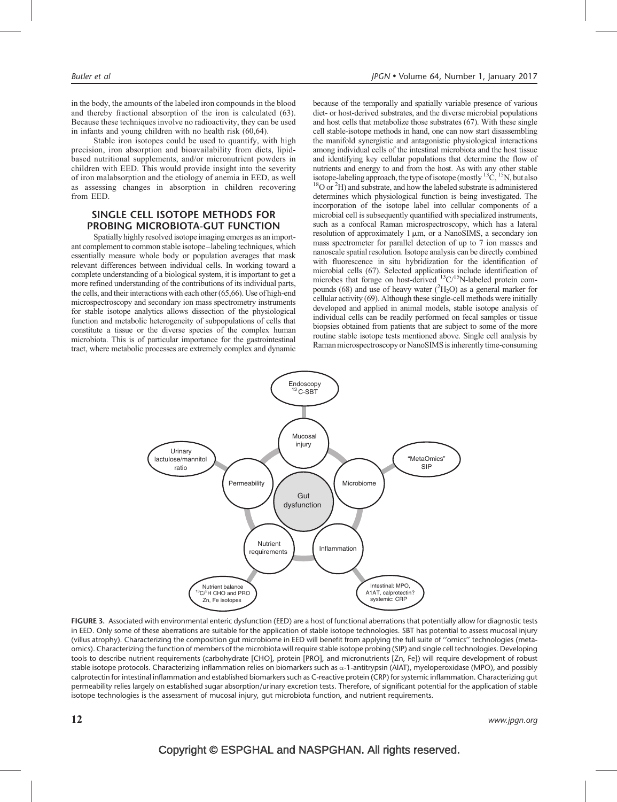<span id="page-4-0"></span>in the body, the amounts of the labeled iron compounds in the blood and thereby fractional absorption of the iron is calculated [\(63\)](#page-6-0). Because these techniques involve no radioactivity, they can be used in infants and young children with no health risk [\(60,64\)](#page-6-0).

Stable iron isotopes could be used to quantify, with high precision, iron absorption and bioavailability from diets, lipidbased nutritional supplements, and/or micronutrient powders in children with EED. This would provide insight into the severity of iron malabsorption and the etiology of anemia in EED, as well as assessing changes in absorption in children recovering from EED.

# SINGLE CELL ISOTOPE METHODS FOR PROBING MICROBIOTA-GUT FUNCTION

Spatially highly resolved isotope imaging emerges as an important complement to common stable isotope–labeling techniques, which essentially measure whole body or population averages that mask relevant differences between individual cells. In working toward a complete understanding of a biological system, it is important to get a more refined understanding of the contributions of its individual parts, the cells, and their interactions with each other [\(65,66\)](#page-6-0). Use of high-end microspectroscopy and secondary ion mass spectrometry instruments for stable isotope analytics allows dissection of the physiological function and metabolic heterogeneity of subpopulations of cells that constitute a tissue or the diverse species of the complex human microbiota. This is of particular importance for the gastrointestinal tract, where metabolic processes are extremely complex and dynamic because of the temporally and spatially variable presence of various diet- or host-derived substrates, and the diverse microbial populations and host cells that metabolize those substrates [\(67\).](#page-6-0) With these single cell stable-isotope methods in hand, one can now start disassembling the manifold synergistic and antagonistic physiological interactions among individual cells of the intestinal microbiota and the host tissue and identifying key cellular populations that determine the flow of nutrients and energy to and from the host. As with any other stable isotope-labeling approach, the type of isotope (mostly <sup>13</sup>C, <sup>15</sup>N, but also <sup>18</sup>O or <sup>2</sup>H) and substrate, and how the labeled substrate is administered  ${}^{8}$ O or  ${}^{2}$ H) and substrate, and how the labeled substrate is administered determines which physiological function is being investigated. The incorporation of the isotope label into cellular components of a microbial cell is subsequently quantified with specialized instruments, such as a confocal Raman microspectroscopy, which has a lateral resolution of approximately  $1 \mu m$ , or a NanoSIMS, a secondary ion mass spectrometer for parallel detection of up to 7 ion masses and nanoscale spatial resolution. Isotope analysis can be directly combined with fluorescence in situ hybridization for the identification of microbial cells [\(67\).](#page-6-0) Selected applications include identification of microbes that forage on host-derived  $^{13}C^{15}N$ -labeled protein com-pounds [\(68\)](#page-6-0) and use of heavy water  $(^{2}H_{2}O)$  as a general marker for cellular activity [\(69\)](#page-6-0). Although these single-cell methods were initially developed and applied in animal models, stable isotope analysis of individual cells can be readily performed on fecal samples or tissue biopsies obtained from patients that are subject to some of the more routine stable isotope tests mentioned above. Single cell analysis by Raman microspectroscopy or NanoSIMS is inherently time-consuming



FIGURE 3. Associated with environmental enteric dysfunction (EED) are a host of functional aberrations that potentially allow for diagnostic tests in EED. Only some of these aberrations are suitable for the application of stable isotope technologies. SBT has potential to assess mucosal injury (villus atrophy). Characterizing the composition gut microbiome in EED will benefit from applying the full suite of ''omics'' technologies (metaomics). Characterizing the function of members of the microbiota will require stable isotope probing (SIP) and single cell technologies. Developing tools to describe nutrient requirements (carbohydrate [CHO], protein [PRO], and micronutrients [Zn, Fe]) will require development of robust stable isotope protocols. Characterizing inflammation relies on biomarkers such as  $\alpha$ -1-antitrypsin (AIAT), myeloperoxidase (MPO), and possibly calprotectin for intestinal inflammation and established biomarkers such as C-reactive protein (CRP) for systemic inflammation. Characterizing gut permeability relies largely on established sugar absorption/urinary excretion tests. Therefore, of significant potential for the application of stable isotope technologies is the assessment of mucosal injury, gut microbiota function, and nutrient requirements.

# Copyright © ESPGHAL and NASPGHAN. All rights reserved.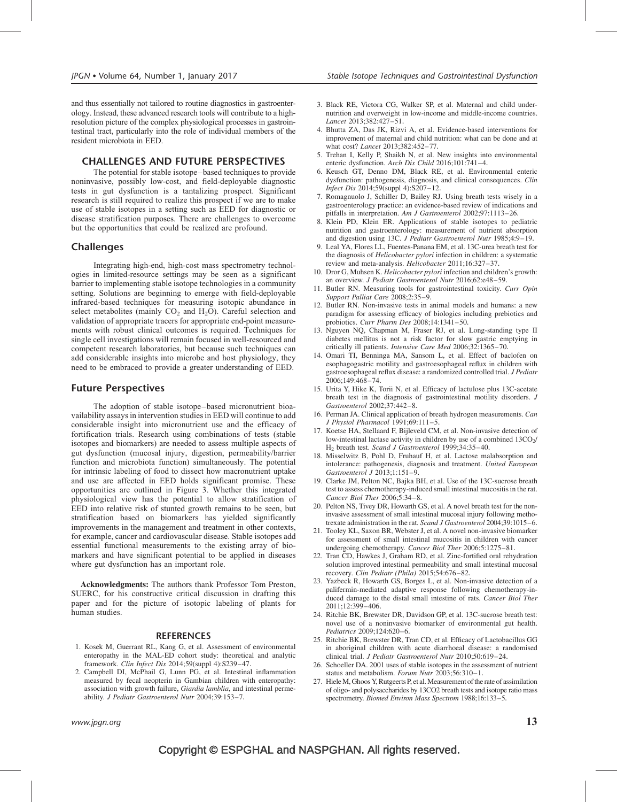<span id="page-5-0"></span>and thus essentially not tailored to routine diagnostics in gastroenterology. Instead, these advanced research tools will contribute to a highresolution picture of the complex physiological processes in gastrointestinal tract, particularly into the role of individual members of the resident microbiota in EED.

#### CHALLENGES AND FUTURE PERSPECTIVES

The potential for stable isotope–based techniques to provide noninvasive, possibly low-cost, and field-deployable diagnostic tests in gut dysfunction is a tantalizing prospect. Significant research is still required to realize this prospect if we are to make use of stable isotopes in a setting such as EED for diagnostic or disease stratification purposes. There are challenges to overcome but the opportunities that could be realized are profound.

### Challenges

Integrating high-end, high-cost mass spectrometry technologies in limited-resource settings may be seen as a significant barrier to implementing stable isotope technologies in a community setting. Solutions are beginning to emerge with field-deployable infrared-based techniques for measuring isotopic abundance in select metabolites (mainly  $CO<sub>2</sub>$  and  $H<sub>2</sub>O$ ). Careful selection and validation of appropriate tracers for appropriate end-point measurements with robust clinical outcomes is required. Techniques for single cell investigations will remain focused in well-resourced and competent research laboratories, but because such techniques can add considerable insights into microbe and host physiology, they need to be embraced to provide a greater understanding of EED.

#### Future Perspectives

The adoption of stable isotope–based micronutrient bioavailability assays in intervention studies in EED will continue to add considerable insight into micronutrient use and the efficacy of fortification trials. Research using combinations of tests (stable isotopes and biomarkers) are needed to assess multiple aspects of gut dysfunction (mucosal injury, digestion, permeability/barrier function and microbiota function) simultaneously. The potential for intrinsic labeling of food to dissect how macronutrient uptake and use are affected in EED holds significant promise. These opportunities are outlined in [Figure 3.](#page-4-0) Whether this integrated physiological view has the potential to allow stratification of EED into relative risk of stunted growth remains to be seen, but stratification based on biomarkers has yielded significantly improvements in the management and treatment in other contexts, for example, cancer and cardiovascular disease. Stable isotopes add essential functional measurements to the existing array of biomarkers and have significant potential to be applied in diseases where gut dysfunction has an important role.

Acknowledgments: The authors thank Professor Tom Preston, SUERC, for his constructive critical discussion in drafting this paper and for the picture of isotopic labeling of plants for human studies.

#### REFERENCES

- 1. Kosek M, Guerrant RL, Kang G, et al. Assessment of environmental enteropathy in the MAL-ED cohort study: theoretical and analytic framework. Clin Infect Dis 2014;59(suppl 4):S239–47.
- 2. Campbell DI, McPhail G, Lunn PG, et al. Intestinal inflammation measured by fecal neopterin in Gambian children with enteropathy: association with growth failure, Giardia lamblia, and intestinal permeability. J Pediatr Gastroenterol Nutr 2004;39:153–7.
- 3. Black RE, Victora CG, Walker SP, et al. Maternal and child undernutrition and overweight in low-income and middle-income countries. Lancet 2013;382:427–51.
- 4. Bhutta ZA, Das JK, Rizvi A, et al. Evidence-based interventions for improvement of maternal and child nutrition: what can be done and at what cost? Lancet 2013;382:452–77.
- 5. Trehan I, Kelly P, Shaikh N, et al. New insights into environmental enteric dysfunction. Arch Dis Child 2016;101:741–4.
- 6. Keusch GT, Denno DM, Black RE, et al. Environmental enteric dysfunction: pathogenesis, diagnosis, and clinical consequences. Clin Infect Dis 2014;59(suppl 4):S207–12.
- 7. Romagnuolo J, Schiller D, Bailey RJ. Using breath tests wisely in a gastroenterology practice: an evidence-based review of indications and pitfalls in interpretation. Am J Gastroenterol 2002;97:1113–26.
- 8. Klein PD, Klein ER. Applications of stable isotopes to pediatric nutrition and gastroenterology: measurement of nutrient absorption and digestion using 13C. J Pediatr Gastroenterol Nutr 1985;4:9–19.
- 9. Leal YA, Flores LL, Fuentes-Panana EM, et al. 13C-urea breath test for the diagnosis of Helicobacter pylori infection in children: a systematic review and meta-analysis. Helicobacter 2011;16:327–37.
- 10. Dror G, Muhsen K. Helicobacter pylori infection and children's growth: an overview. J Pediatr Gastroenterol Nutr 2016;62:e48–59.
- 11. Butler RN. Measuring tools for gastrointestinal toxicity. Curr Opin Support Palliat Care 2008;2:35–9.
- 12. Butler RN. Non-invasive tests in animal models and humans: a new paradigm for assessing efficacy of biologics including prebiotics and probiotics. Curr Pharm Des 2008;14:1341–50.
- 13. Nguyen NQ, Chapman M, Fraser RJ, et al. Long-standing type II diabetes mellitus is not a risk factor for slow gastric emptying in critically ill patients. Intensive Care Med 2006;32:1365–70.
- 14. Omari TI, Benninga MA, Sansom L, et al. Effect of baclofen on esophagogastric motility and gastroesophageal reflux in children with gastroesophageal reflux disease: a randomized controlled trial. J Pediatr 2006;149:468–74.
- 15. Urita Y, Hike K, Torii N, et al. Efficacy of lactulose plus 13C-acetate breath test in the diagnosis of gastrointestinal motility disorders. J Gastroenterol 2002;37:442–8.
- 16. Perman JA. Clinical application of breath hydrogen measurements. Can J Physiol Pharmacol 1991;69:111–5.
- 17. Koetse HA, Stellaard F, Bijleveld CM, et al. Non-invasive detection of low-intestinal lactase activity in children by use of a combined  $13CO<sub>2</sub>/$ H2 breath test. Scand J Gastroenterol 1999;34:35–40.
- 18. Misselwitz B, Pohl D, Fruhauf H, et al. Lactose malabsorption and intolerance: pathogenesis, diagnosis and treatment. United European Gastroenterol J 2013;1:151–9.
- 19. Clarke JM, Pelton NC, Bajka BH, et al. Use of the 13C-sucrose breath test to assess chemotherapy-induced small intestinal mucositis in the rat. Cancer Biol Ther 2006;5:34–8.
- 20. Pelton NS, Tivey DR, Howarth GS, et al. A novel breath test for the noninvasive assessment of small intestinal mucosal injury following methotrexate administration in the rat. Scand J Gastroenterol 2004;39:1015–6.
- 21. Tooley KL, Saxon BR, Webster J, et al. A novel non-invasive biomarker for assessment of small intestinal mucositis in children with cancer undergoing chemotherapy. Cancer Biol Ther 2006;5:1275–81.
- 22. Tran CD, Hawkes J, Graham RD, et al. Zinc-fortified oral rehydration solution improved intestinal permeability and small intestinal mucosal recovery. Clin Pediatr (Phila) 2015;54:676–82.
- 23. Yazbeck R, Howarth GS, Borges L, et al. Non-invasive detection of a palifermin-mediated adaptive response following chemotherapy-induced damage to the distal small intestine of rats. Cancer Biol Ther 2011;12:399–406.
- 24. Ritchie BK, Brewster DR, Davidson GP, et al. 13C-sucrose breath test: novel use of a noninvasive biomarker of environmental gut health. Pediatrics 2009;124:620–6.
- 25. Ritchie BK, Brewster DR, Tran CD, et al. Efficacy of Lactobacillus GG in aboriginal children with acute diarrhoeal disease: a randomised clinical trial. J Pediatr Gastroenterol Nutr 2010;50:619–24.
- 26. Schoeller DA. 2001 uses of stable isotopes in the assessment of nutrient status and metabolism. Forum Nutr 2003;56:310–1.
- 27. Hiele M, Ghoos Y, Rutgeerts P, et al. Measurement of the rate of assimilation of oligo- and polysaccharides by 13CO2 breath tests and isotope ratio mass spectrometry. Biomed Environ Mass Spectrom 1988;16:133–5.